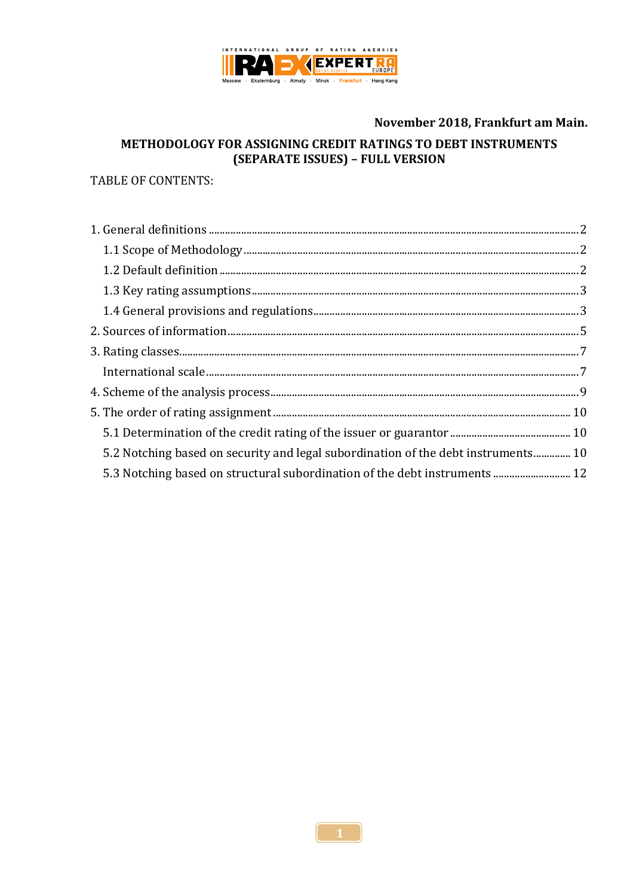

### November 2018, Frankfurt am Main.

# METHODOLOGY FOR ASSIGNING CREDIT RATINGS TO DEBT INSTRUMENTS (SEPARATE ISSUES) - FULL VERSION

### **TABLE OF CONTENTS:**

| 5.2 Notching based on security and legal subordination of the debt instruments 10 |  |
|-----------------------------------------------------------------------------------|--|
| 5.3 Notching based on structural subordination of the debt instruments  12        |  |
|                                                                                   |  |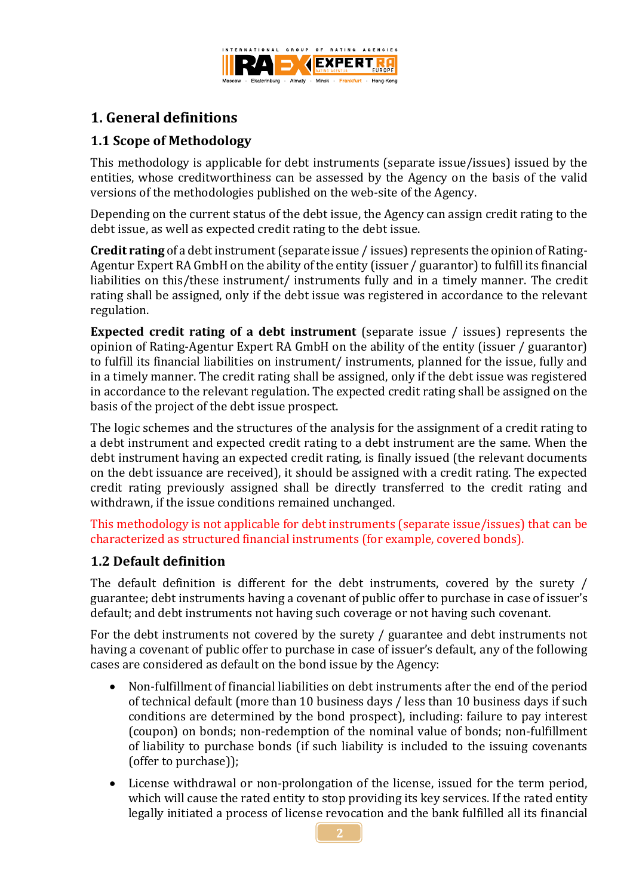

# <span id="page-1-0"></span>**1. General definitions**

# <span id="page-1-1"></span>**1.1 Scope of Methodology**

This methodology is applicable for debt instruments (separate issue/issues) issued by the entities, whose creditworthiness can be assessed by the Agency on the basis of the valid versions of the methodologies published on the web-site of the Agency.

Depending on the current status of the debt issue, the Agency can assign credit rating to the debt issue, as well as expected credit rating to the debt issue.

**Credit rating** of a debt instrument (separate issue / issues) represents the opinion of Rating-Agentur Expert RA GmbH on the ability of the entity (issuer / guarantor) to fulfill its financial liabilities on this/these instrument/ instruments fully and in a timely manner. The credit rating shall be assigned, only if the debt issue was registered in accordance to the relevant regulation.

**Expected credit rating of a debt instrument** (separate issue / issues) represents the opinion of Rating-Agentur Expert RA GmbH on the ability of the entity (issuer / guarantor) to fulfill its financial liabilities on instrument/ instruments, planned for the issue, fully and in a timely manner. The credit rating shall be assigned, only if the debt issue was registered in accordance to the relevant regulation. The expected credit rating shall be assigned on the basis of the project of the debt issue prospect.

The logic schemes and the structures of the analysis for the assignment of a credit rating to a debt instrument and expected credit rating to a debt instrument are the same. When the debt instrument having an expected credit rating, is finally issued (the relevant documents on the debt issuance are received), it should be assigned with a credit rating. The expected credit rating previously assigned shall be directly transferred to the credit rating and withdrawn, if the issue conditions remained unchanged.

This methodology is not applicable for debt instruments (separate issue/issues) that can be characterized as structured financial instruments (for example, covered bonds).

# <span id="page-1-2"></span>**1.2 Default definition**

The default definition is different for the debt instruments, covered by the surety / guarantee; debt instruments having a covenant of public offer to purchase in case of issuer's default; and debt instruments not having such coverage or not having such covenant.

For the debt instruments not covered by the surety / guarantee and debt instruments not having a covenant of public offer to purchase in case of issuer's default, any of the following cases are considered as default on the bond issue by the Agency:

- Non-fulfillment of financial liabilities on debt instruments after the end of the period of technical default (more than 10 business days / less than 10 business days if such conditions are determined by the bond prospect), including: failure to pay interest (coupon) on bonds; non-redemption of the nominal value of bonds; non-fulfillment of liability to purchase bonds (if such liability is included to the issuing covenants (offer to purchase));
- License withdrawal or non-prolongation of the license, issued for the term period, which will cause the rated entity to stop providing its key services. If the rated entity legally initiated a process of license revocation and the bank fulfilled all its financial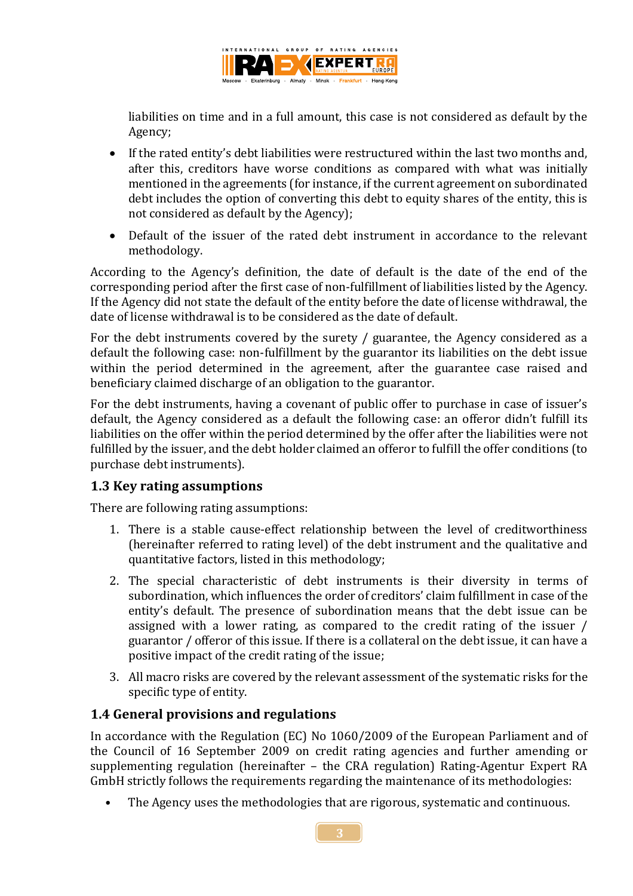

liabilities on time and in a full amount, this case is not considered as default by the Agency;

- If the rated entity's debt liabilities were restructured within the last two months and, after this, creditors have worse conditions as compared with what was initially mentioned in the agreements (for instance, if the current agreement on subordinated debt includes the option of converting this debt to equity shares of the entity, this is not considered as default by the Agency);
- Default of the issuer of the rated debt instrument in accordance to the relevant methodology.

According to the Agency's definition, the date of default is the date of the end of the corresponding period after the first case of non-fulfillment of liabilities listed by the Agency. If the Agency did not state the default of the entity before the date of license withdrawal, the date of license withdrawal is to be considered as the date of default.

For the debt instruments covered by the surety / guarantee, the Agency considered as a default the following case: non-fulfillment by the guarantor its liabilities on the debt issue within the period determined in the agreement, after the guarantee case raised and beneficiary claimed discharge of an obligation to the guarantor.

For the debt instruments, having a covenant of public offer to purchase in case of issuer's default, the Agency considered as a default the following case: an offeror didn't fulfill its liabilities on the offer within the period determined by the offer after the liabilities were not fulfilled by the issuer, and the debt holder claimed an offeror to fulfill the offer conditions (to purchase debt instruments).

## <span id="page-2-0"></span>**1.3 Key rating assumptions**

There are following rating assumptions:

- 1. There is a stable cause-effect relationship between the level of creditworthiness (hereinafter referred to rating level) of the debt instrument and the qualitative and quantitative factors, listed in this methodology;
- 2. The special characteristic of debt instruments is their diversity in terms of subordination, which influences the order of creditors' claim fulfillment in case of the entity's default. The presence of subordination means that the debt issue can be assigned with a lower rating, as compared to the credit rating of the issuer / guarantor / offeror of this issue. If there is a collateral on the debt issue, it can have a positive impact of the credit rating of the issue;
- 3. All macro risks are covered by the relevant assessment of the systematic risks for the specific type of entity.

## <span id="page-2-1"></span>**1.4 General provisions and regulations**

In accordance with the Regulation (EC) No 1060/2009 of the European Parliament and of the Council of 16 September 2009 on credit rating agencies and further amending or supplementing regulation (hereinafter – the CRA regulation) Rating-Agentur Expert RA GmbH strictly follows the requirements regarding the maintenance of its methodologies:

The Agency uses the methodologies that are rigorous, systematic and continuous.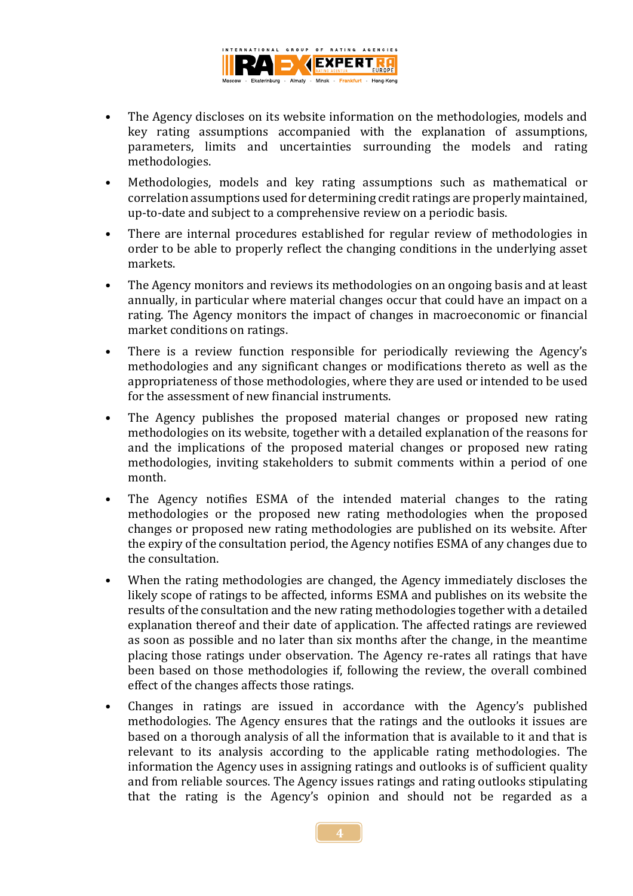

- The Agency discloses on its website information on the methodologies, models and key rating assumptions accompanied with the explanation of assumptions, parameters, limits and uncertainties surrounding the models and rating methodologies.
- Methodologies, models and key rating assumptions such as mathematical or correlation assumptions used for determining credit ratings are properly maintained, up-to-date and subject to a comprehensive review on a periodic basis.
- There are internal procedures established for regular review of methodologies in order to be able to properly reflect the changing conditions in the underlying asset markets.
- The Agency monitors and reviews its methodologies on an ongoing basis and at least annually, in particular where material changes occur that could have an impact on a rating. The Agency monitors the impact of changes in macroeconomic or financial market conditions on ratings.
- There is a review function responsible for periodically reviewing the Agency's methodologies and any significant changes or modifications thereto as well as the appropriateness of those methodologies, where they are used or intended to be used for the assessment of new financial instruments.
- The Agency publishes the proposed material changes or proposed new rating methodologies on its website, together with a detailed explanation of the reasons for and the implications of the proposed material changes or proposed new rating methodologies, inviting stakeholders to submit comments within a period of one month.
- The Agency notifies ESMA of the intended material changes to the rating methodologies or the proposed new rating methodologies when the proposed changes or proposed new rating methodologies are published on its website. After the expiry of the consultation period, the Agency notifies ESMA of any changes due to the consultation.
- When the rating methodologies are changed, the Agency immediately discloses the likely scope of ratings to be affected, informs ESMA and publishes on its website the results of the consultation and the new rating methodologies together with a detailed explanation thereof and their date of application. The affected ratings are reviewed as soon as possible and no later than six months after the change, in the meantime placing those ratings under observation. The Agency re-rates all ratings that have been based on those methodologies if, following the review, the overall combined effect of the changes affects those ratings.
- Changes in ratings are issued in accordance with the Agency's published methodologies. The Agency ensures that the ratings and the outlooks it issues are based on a thorough analysis of all the information that is available to it and that is relevant to its analysis according to the applicable rating methodologies. The information the Agency uses in assigning ratings and outlooks is of sufficient quality and from reliable sources. The Agency issues ratings and rating outlooks stipulating that the rating is the Agency's opinion and should not be regarded as a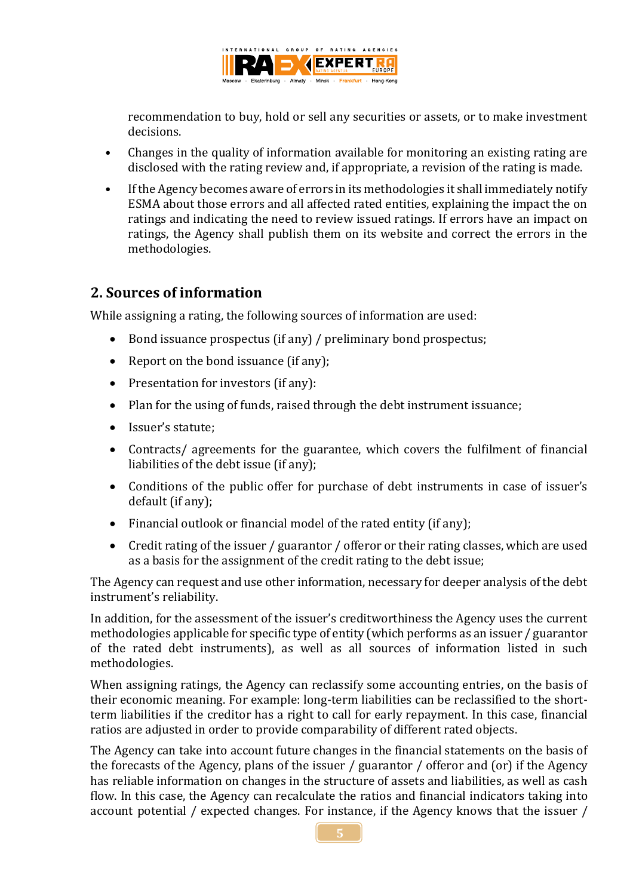

recommendation to buy, hold or sell any securities or assets, or to make investment decisions.

- Changes in the quality of information available for monitoring an existing rating are disclosed with the rating review and, if appropriate, a revision of the rating is made.
- If the Agency becomes aware of errors in its methodologies it shall immediately notify ESMA about those errors and all affected rated entities, explaining the impact the on ratings and indicating the need to review issued ratings. If errors have an impact on ratings, the Agency shall publish them on its website and correct the errors in the methodologies.

# <span id="page-4-0"></span>**2. Sources of information**

While assigning a rating, the following sources of information are used:

- Bond issuance prospectus (if any) / preliminary bond prospectus;
- Report on the bond issuance (if any);
- Presentation for investors (if any):
- Plan for the using of funds, raised through the debt instrument issuance;
- Issuer's statute:
- Contracts/ agreements for the guarantee, which covers the fulfilment of financial liabilities of the debt issue (if any);
- Conditions of the public offer for purchase of debt instruments in case of issuer's default (if any);
- Financial outlook or financial model of the rated entity (if any);
- Credit rating of the issuer / guarantor / offeror or their rating classes, which are used as a basis for the assignment of the credit rating to the debt issue;

The Agency can request and use other information, necessary for deeper analysis of the debt instrument's reliability.

In addition, for the assessment of the issuer's creditworthiness the Agency uses the current methodologies applicable for specific type of entity (which performs as an issuer / guarantor of the rated debt instruments), as well as all sources of information listed in such methodologies.

When assigning ratings, the Agency can reclassify some accounting entries, on the basis of their economic meaning. For example: long-term liabilities can be reclassified to the shortterm liabilities if the creditor has a right to call for early repayment. In this case, financial ratios are adjusted in order to provide comparability of different rated objects.

The Agency can take into account future changes in the financial statements on the basis of the forecasts of the Agency, plans of the issuer / guarantor / offeror and (or) if the Agency has reliable information on changes in the structure of assets and liabilities, as well as cash flow. In this case, the Agency can recalculate the ratios and financial indicators taking into account potential / expected changes. For instance, if the Agency knows that the issuer /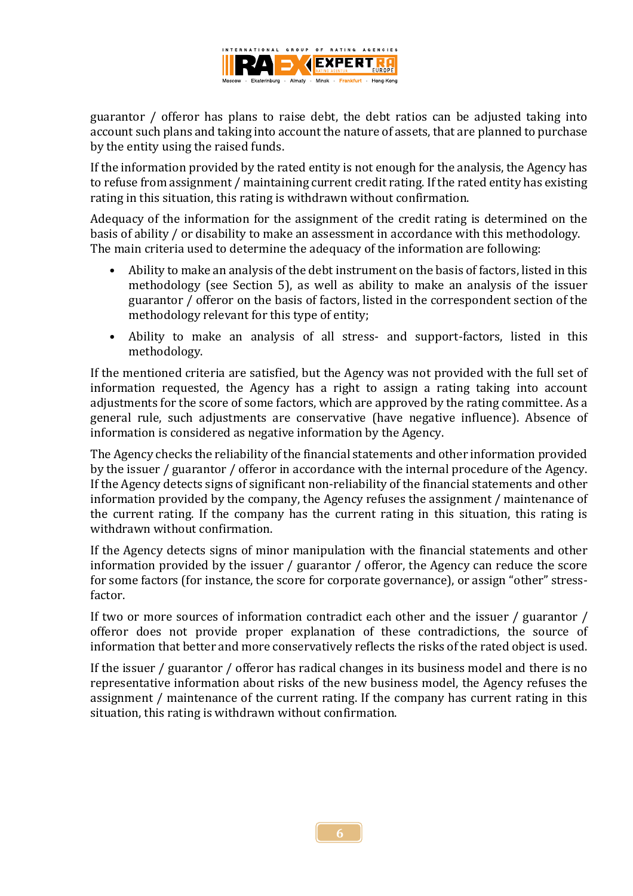

guarantor / offeror has plans to raise debt, the debt ratios can be adjusted taking into account such plans and taking into account the nature of assets, that are planned to purchase by the entity using the raised funds.

If the information provided by the rated entity is not enough for the analysis, the Agency has to refuse from assignment / maintaining current credit rating. If the rated entity has existing rating in this situation, this rating is withdrawn without confirmation.

Adequacy of the information for the assignment of the credit rating is determined on the basis of ability / or disability to make an assessment in accordance with this methodology. The main criteria used to determine the adequacy of the information are following:

- Ability to make an analysis of the debt instrument on the basis of factors, listed in this methodology (see Section 5), as well as ability to make an analysis of the issuer guarantor / offeror on the basis of factors, listed in the correspondent section of the methodology relevant for this type of entity;
- Ability to make an analysis of all stress- and support-factors, listed in this methodology.

If the mentioned criteria are satisfied, but the Agency was not provided with the full set of information requested, the Agency has a right to assign a rating taking into account adjustments for the score of some factors, which are approved by the rating committee. As a general rule, such adjustments are conservative (have negative influence). Absence of information is considered as negative information by the Agency.

The Agency checks the reliability of the financial statements and other information provided by the issuer / guarantor / offeror in accordance with the internal procedure of the Agency. If the Agency detects signs of significant non-reliability of the financial statements and other information provided by the company, the Agency refuses the assignment / maintenance of the current rating. If the company has the current rating in this situation, this rating is withdrawn without confirmation.

If the Agency detects signs of minor manipulation with the financial statements and other information provided by the issuer / guarantor / offeror, the Agency can reduce the score for some factors (for instance, the score for corporate governance), or assign "other" stressfactor.

If two or more sources of information contradict each other and the issuer / guarantor / offeror does not provide proper explanation of these contradictions, the source of information that better and more conservatively reflects the risks of the rated object is used.

If the issuer / guarantor / offeror has radical changes in its business model and there is no representative information about risks of the new business model, the Agency refuses the assignment / maintenance of the current rating. If the company has current rating in this situation, this rating is withdrawn without confirmation.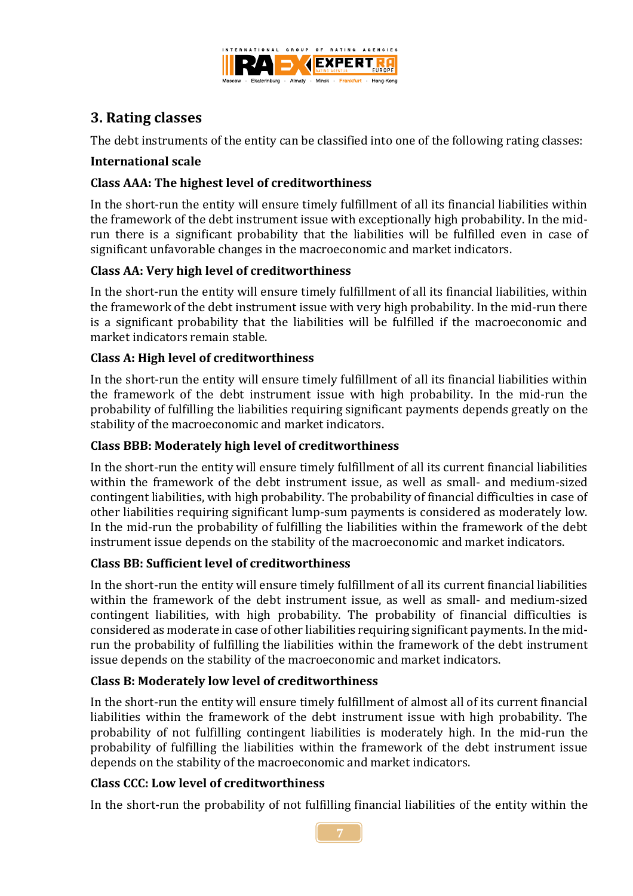

# <span id="page-6-0"></span>**3. Rating classes**

The debt instruments of the entity can be classified into one of the following rating classes:

### <span id="page-6-1"></span>**International scale**

## **Class AAA: The highest level of creditworthiness**

In the short-run the entity will ensure timely fulfillment of all its financial liabilities within the framework of the debt instrument issue with exceptionally high probability. In the midrun there is a significant probability that the liabilities will be fulfilled even in case of significant unfavorable changes in the macroeconomic and market indicators.

#### **Class AA: Very high level of creditworthiness**

In the short-run the entity will ensure timely fulfillment of all its financial liabilities, within the framework of the debt instrument issue with very high probability. In the mid-run there is a significant probability that the liabilities will be fulfilled if the macroeconomic and market indicators remain stable.

#### **Class A: High level of creditworthiness**

In the short-run the entity will ensure timely fulfillment of all its financial liabilities within the framework of the debt instrument issue with high probability. In the mid-run the probability of fulfilling the liabilities requiring significant payments depends greatly on the stability of the macroeconomic and market indicators.

#### **Class ВBB: Moderately high level of creditworthiness**

In the short-run the entity will ensure timely fulfillment of all its current financial liabilities within the framework of the debt instrument issue, as well as small- and medium-sized contingent liabilities, with high probability. The probability of financial difficulties in case of other liabilities requiring significant lump-sum payments is considered as moderately low. In the mid-run the probability of fulfilling the liabilities within the framework of the debt instrument issue depends on the stability of the macroeconomic and market indicators.

#### **Class ВB: Sufficient level of creditworthiness**

In the short-run the entity will ensure timely fulfillment of all its current financial liabilities within the framework of the debt instrument issue, as well as small- and medium-sized contingent liabilities, with high probability. The probability of financial difficulties is considered as moderate in case of other liabilities requiring significant payments. In the midrun the probability of fulfilling the liabilities within the framework of the debt instrument issue depends on the stability of the macroeconomic and market indicators.

#### **Class В: Moderately low level of creditworthiness**

In the short-run the entity will ensure timely fulfillment of almost all of its current financial liabilities within the framework of the debt instrument issue with high probability. The probability of not fulfilling contingent liabilities is moderately high. In the mid-run the probability of fulfilling the liabilities within the framework of the debt instrument issue depends on the stability of the macroeconomic and market indicators.

#### **Class СCC: Low level of creditworthiness**

In the short-run the probability of not fulfilling financial liabilities of the entity within the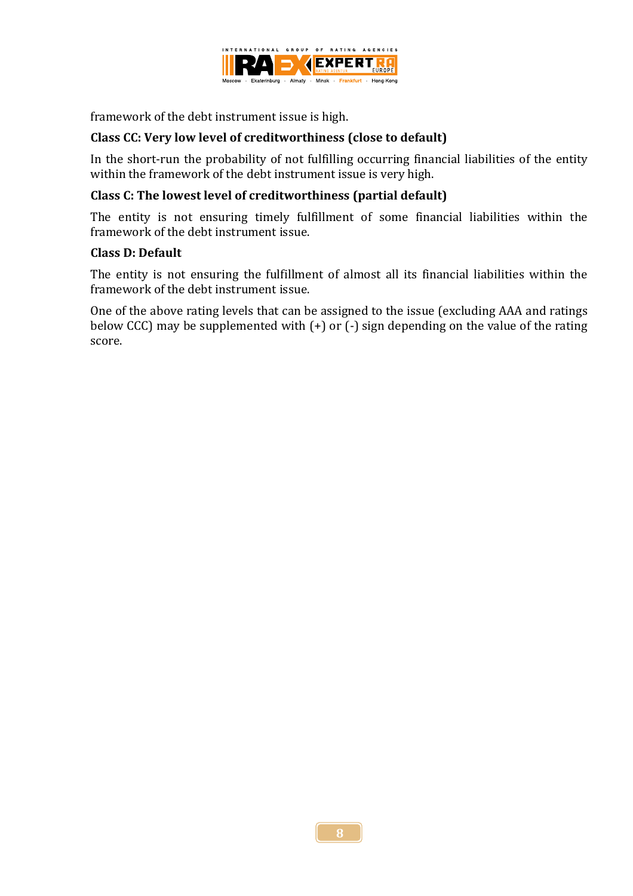

framework of the debt instrument issue is high.

#### **Class СC: Very low level of creditworthiness (close to default)**

In the short-run the probability of not fulfilling occurring financial liabilities of the entity within the framework of the debt instrument issue is very high.

#### **Class С: The lowest level of creditworthiness (partial default)**

The entity is not ensuring timely fulfillment of some financial liabilities within the framework of the debt instrument issue.

#### **Class D: Default**

The entity is not ensuring the fulfillment of almost all its financial liabilities within the framework of the debt instrument issue.

One of the above rating levels that can be assigned to the issue (excluding AAA and ratings below CCC) may be supplemented with  $(+)$  or  $(-)$  sign depending on the value of the rating score.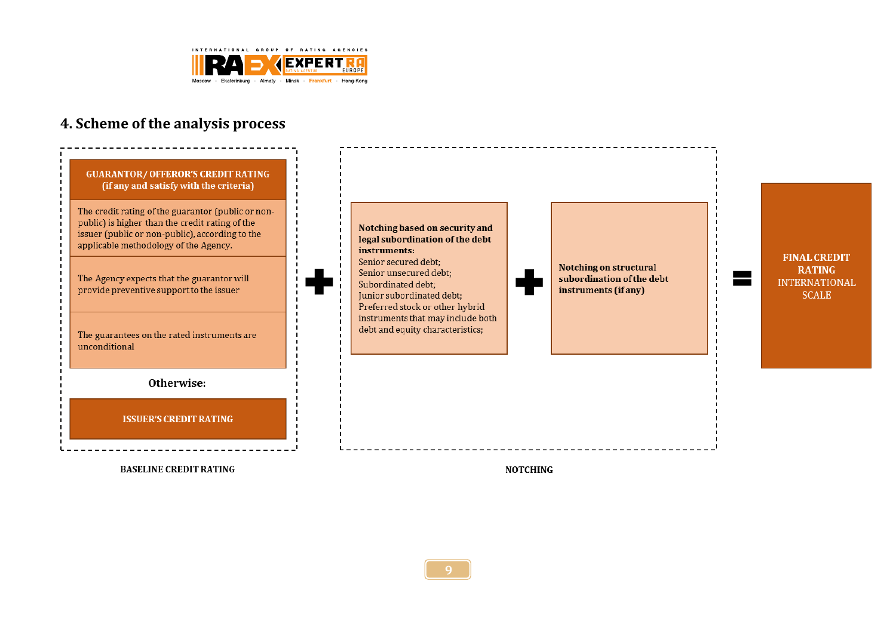

# **4. Scheme of the analysis process**



<span id="page-8-0"></span>**BASELINE CREDIT RATING** 

**NOTCHING**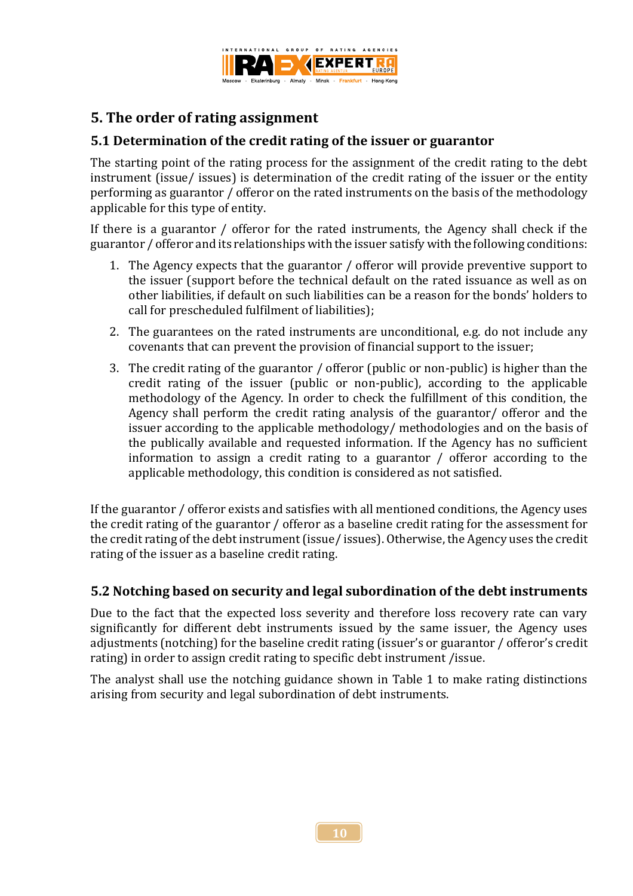

# <span id="page-9-0"></span>**5. The order of rating assignment**

## <span id="page-9-1"></span>**5.1 Determination of the credit rating of the issuer or guarantor**

The starting point of the rating process for the assignment of the credit rating to the debt instrument (issue/ issues) is determination of the credit rating of the issuer or the entity performing as guarantor / offeror on the rated instruments on the basis of the methodology applicable for this type of entity.

If there is a guarantor / offeror for the rated instruments, the Agency shall check if the guarantor / offeror and its relationships with the issuer satisfy with the following conditions:

- 1. The Agency expects that the guarantor / offeror will provide preventive support to the issuer (support before the technical default on the rated issuance as well as on other liabilities, if default on such liabilities can be a reason for the bonds' holders to call for prescheduled fulfilment of liabilities);
- 2. The guarantees on the rated instruments are unconditional, e.g. do not include any covenants that can prevent the provision of financial support to the issuer;
- 3. The credit rating of the guarantor / offeror (public or non-public) is higher than the credit rating of the issuer (public or non-public), according to the applicable methodology of the Agency. In order to check the fulfillment of this condition, the Agency shall perform the credit rating analysis of the guarantor/ offeror and the issuer according to the applicable methodology/ methodologies and on the basis of the publically available and requested information. If the Agency has no sufficient information to assign a credit rating to a guarantor / offeror according to the applicable methodology, this condition is considered as not satisfied.

If the guarantor / offeror exists and satisfies with all mentioned conditions, the Agency uses the credit rating of the guarantor / offeror as a baseline credit rating for the assessment for the credit rating of the debt instrument (issue/ issues). Otherwise, the Agency uses the credit rating of the issuer as a baseline credit rating.

## <span id="page-9-2"></span>**5.2 Notching based on security and legal subordination of the debt instruments**

Due to the fact that the expected loss severity and therefore loss recovery rate can vary significantly for different debt instruments issued by the same issuer, the Agency uses adjustments (notching) for the baseline credit rating (issuer's or guarantor / offeror's credit rating) in order to assign credit rating to specific debt instrument /issue.

The analyst shall use the notching guidance shown in Table 1 to make rating distinctions arising from security and legal subordination of debt instruments.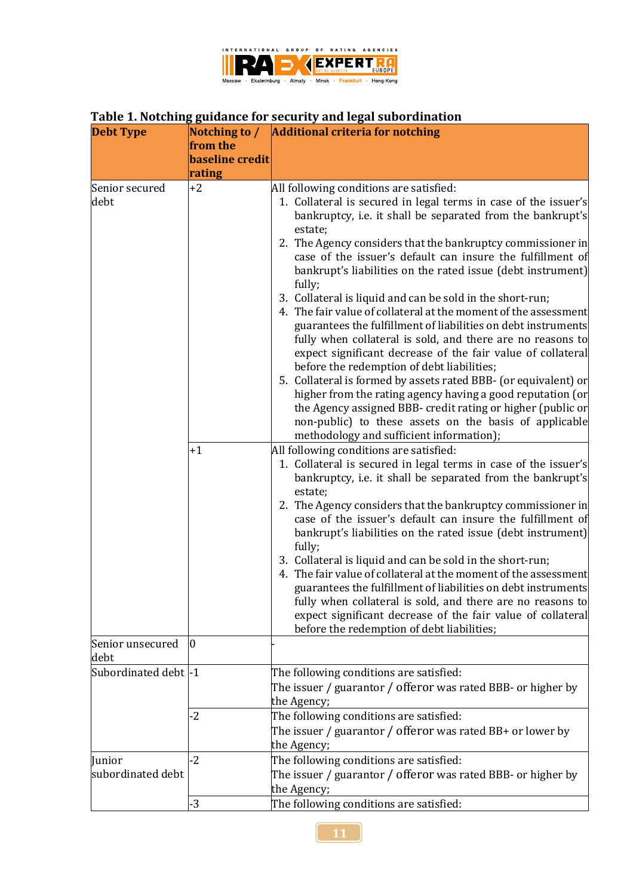

# **Table 1. Notching guidance for security and legal subordination**

| <b>Debt Type</b>            |                        | Notching to / Additional criteria for notching                                                                                                                                                                                                                                                                                                                                                                                                                                                                                                                                                                                                                                                                                                                                                                                                                                                                                                                                                                                  |
|-----------------------------|------------------------|---------------------------------------------------------------------------------------------------------------------------------------------------------------------------------------------------------------------------------------------------------------------------------------------------------------------------------------------------------------------------------------------------------------------------------------------------------------------------------------------------------------------------------------------------------------------------------------------------------------------------------------------------------------------------------------------------------------------------------------------------------------------------------------------------------------------------------------------------------------------------------------------------------------------------------------------------------------------------------------------------------------------------------|
|                             | from the               |                                                                                                                                                                                                                                                                                                                                                                                                                                                                                                                                                                                                                                                                                                                                                                                                                                                                                                                                                                                                                                 |
|                             | <b>baseline credit</b> |                                                                                                                                                                                                                                                                                                                                                                                                                                                                                                                                                                                                                                                                                                                                                                                                                                                                                                                                                                                                                                 |
| Senior secured<br>debt      | rating<br>$+2$         | All following conditions are satisfied:<br>1. Collateral is secured in legal terms in case of the issuer's<br>bankruptcy, i.e. it shall be separated from the bankrupt's<br>estate;<br>2. The Agency considers that the bankruptcy commissioner in<br>case of the issuer's default can insure the fulfillment of<br>bankrupt's liabilities on the rated issue (debt instrument)<br>fully;<br>3. Collateral is liquid and can be sold in the short-run;<br>4. The fair value of collateral at the moment of the assessment<br>guarantees the fulfillment of liabilities on debt instruments<br>fully when collateral is sold, and there are no reasons to<br>expect significant decrease of the fair value of collateral<br>before the redemption of debt liabilities;<br>5. Collateral is formed by assets rated BBB- (or equivalent) or<br>higher from the rating agency having a good reputation (or<br>the Agency assigned BBB- credit rating or higher (public or<br>non-public) to these assets on the basis of applicable |
|                             | $+1$                   | methodology and sufficient information);<br>All following conditions are satisfied:<br>1. Collateral is secured in legal terms in case of the issuer's<br>bankruptcy, i.e. it shall be separated from the bankrupt's<br>estate;<br>2. The Agency considers that the bankruptcy commissioner in<br>case of the issuer's default can insure the fulfillment of<br>bankrupt's liabilities on the rated issue (debt instrument)<br>fully;<br>3. Collateral is liquid and can be sold in the short-run;<br>4. The fair value of collateral at the moment of the assessment<br>guarantees the fulfillment of liabilities on debt instruments<br>fully when collateral is sold, and there are no reasons to<br>expect significant decrease of the fair value of collateral<br>before the redemption of debt liabilities;                                                                                                                                                                                                               |
| Senior unsecured<br>debt    | $\overline{0}$         |                                                                                                                                                                                                                                                                                                                                                                                                                                                                                                                                                                                                                                                                                                                                                                                                                                                                                                                                                                                                                                 |
| Subordinated debt -1        |                        | The following conditions are satisfied:<br>The issuer / guarantor / offeror was rated BBB- or higher by<br>the Agency;                                                                                                                                                                                                                                                                                                                                                                                                                                                                                                                                                                                                                                                                                                                                                                                                                                                                                                          |
|                             | $-2$                   | The following conditions are satisfied:<br>The issuer / guarantor / offeror was rated BB+ or lower by<br>the Agency;                                                                                                                                                                                                                                                                                                                                                                                                                                                                                                                                                                                                                                                                                                                                                                                                                                                                                                            |
| Junior<br>subordinated debt | $-2$                   | The following conditions are satisfied:<br>The issuer / guarantor / offeror was rated BBB- or higher by<br>the Agency;                                                                                                                                                                                                                                                                                                                                                                                                                                                                                                                                                                                                                                                                                                                                                                                                                                                                                                          |
|                             | $\cdot$ 3              | The following conditions are satisfied:                                                                                                                                                                                                                                                                                                                                                                                                                                                                                                                                                                                                                                                                                                                                                                                                                                                                                                                                                                                         |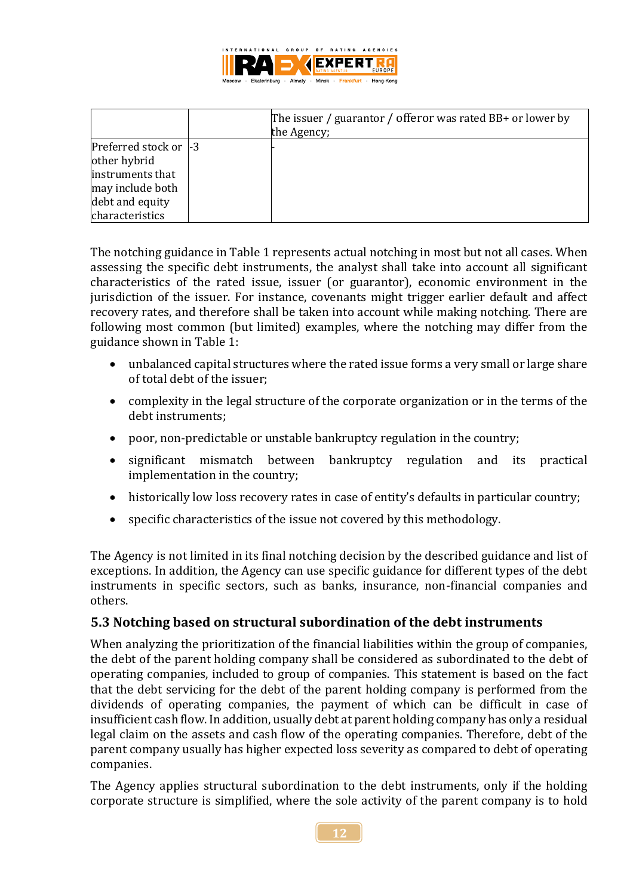

|                                                            | The issuer / guarantor / offeror was rated BB+ or lower by<br>the Agency; |
|------------------------------------------------------------|---------------------------------------------------------------------------|
| Preferred stock or  -3<br>other hybrid<br>instruments that |                                                                           |
| may include both<br>debt and equity                        |                                                                           |
| characteristics                                            |                                                                           |

The notching guidance in Table 1 represents actual notching in most but not all cases. When assessing the specific debt instruments, the analyst shall take into account all significant characteristics of the rated issue, issuer (or guarantor), economic environment in the jurisdiction of the issuer. For instance, covenants might trigger earlier default and affect recovery rates, and therefore shall be taken into account while making notching. There are following most common (but limited) examples, where the notching may differ from the guidance shown in Table 1:

- unbalanced capital structures where the rated issue forms a very small or large share of total debt of the issuer;
- complexity in the legal structure of the corporate organization or in the terms of the debt instruments;
- poor, non-predictable or unstable bankruptcy regulation in the country;
- significant mismatch between bankruptcy regulation and its practical implementation in the country;
- historically low loss recovery rates in case of entity's defaults in particular country;
- specific characteristics of the issue not covered by this methodology.

The Agency is not limited in its final notching decision by the described guidance and list of exceptions. In addition, the Agency can use specific guidance for different types of the debt instruments in specific sectors, such as banks, insurance, non-financial companies and others.

## <span id="page-11-0"></span>**5.3 Notching based on structural subordination of the debt instruments**

When analyzing the prioritization of the financial liabilities within the group of companies, the debt of the parent holding company shall be considered as subordinated to the debt of operating companies, included to group of companies. This statement is based on the fact that the debt servicing for the debt of the parent holding company is performed from the dividends of operating companies, the payment of which can be difficult in case of insufficient cash flow. In addition, usually debt at parent holding company has only a residual legal claim on the assets and cash flow of the operating companies. Therefore, debt of the parent company usually has higher expected loss severity as compared to debt of operating companies.

The Agency applies structural subordination to the debt instruments, only if the holding corporate structure is simplified, where the sole activity of the parent company is to hold